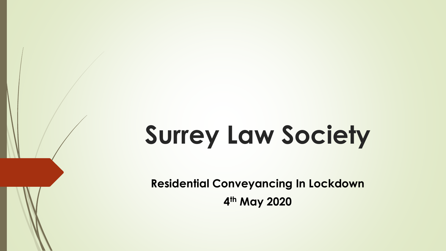# **Surrey Law Society**

**Residential Conveyancing In Lockdown 4 th May 2020**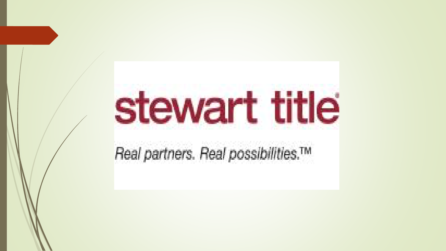# stewart title

Real partners. Real possibilities.™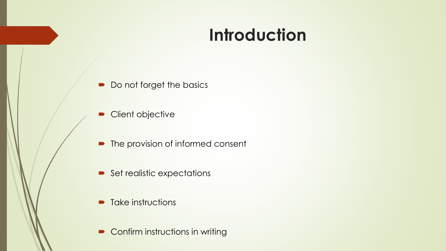#### **Introduction**

- Do not forget the basics
- Client objective
- The provision of informed consent
- $\blacktriangleright$  Set realistic expectations
- $\blacksquare$  Take instructions
- Confirm instructions in writing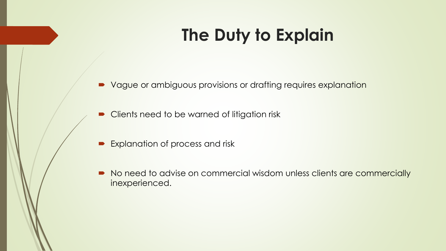# **The Duty to Explain**

- Vague or ambiguous provisions or drafting requires explanation
- Clients need to be warned of litigation risk
- Explanation of process and risk
- No need to advise on commercial wisdom unless clients are commercially inexperienced.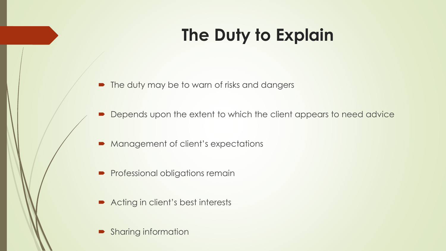# **The Duty to Explain**

- The duty may be to warn of risks and dangers
- Depends upon the extent to which the client appears to need advice
- Management of client's expectations
- **Professional obligations remain**
- Acting in client's best interests
- Sharing information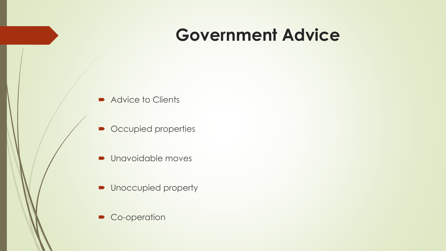#### **Government Advice**

- Advice to Clients
- Occupied properties
- **Unavoidable moves**
- **•** Unoccupied property
- Co-operation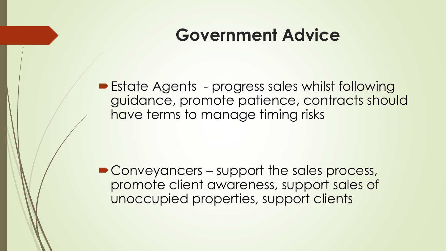#### **Government Advice**

■ Estate Agents - progress sales whilst following guidance, promote patience, contracts should have terms to manage timing risks

■ Conveyancers – support the sales process, promote client awareness, support sales of unoccupied properties, support clients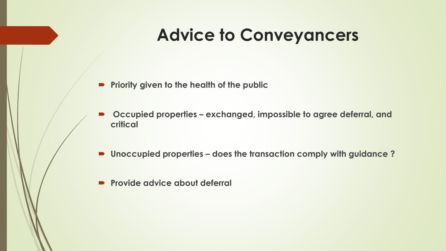#### **Advice to Conveyancers**

- **Priority given to the health of the public**
- Occupied properties exchanged, impossible to agree deferral, and **critical**
- Unoccupied properties does the transaction comply with guidance?
- **Provide advice about deferral**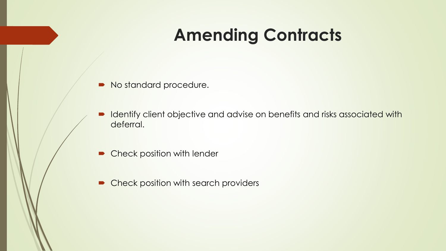#### **Amending Contracts**

- No standard procedure.
- I Identify client objective and advise on benefits and risks associated with deferral.
- Check position with lender
- Check position with search providers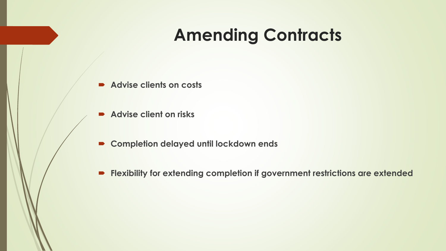#### **Amending Contracts**

- **Advise clients on costs**
- **Advise client on risks**
- **Completion delayed until lockdown ends**
- **Flexibility for extending completion if government restrictions are extended**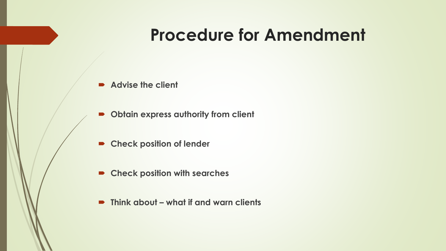#### **Procedure for Amendment**

- Advise the client
- **Obtain express authority from client**
- **Check position of lender**
- **Check position with searches**
- Think about what if and warn clients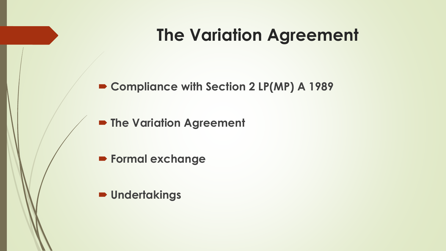#### **The Variation Agreement**

**Compliance with Section 2 LP(MP) A 1989** 

**P The Variation Agreement** 

**Formal exchange** 

**Undertakings**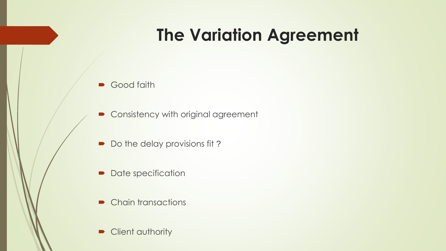## **The Variation Agreement**

- Good faith
- Consistency with original agreement
- Do the delay provisions fit?
- Date specification
- Chain transactions
- Client authority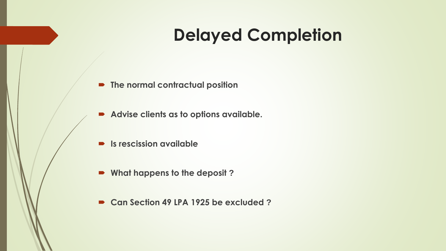#### **Delayed Completion**

- **The normal contractual position**
- **Advise clients as to options available.**
- **Is rescission available**
- **What happens to the deposit ?**
- **Can Section 49 LPA 1925 be excluded ?**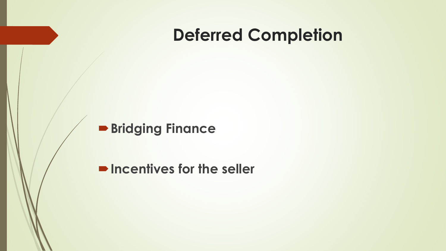#### **Deferred Completion**

#### **Bridging Finance**

**P**Incentives for the seller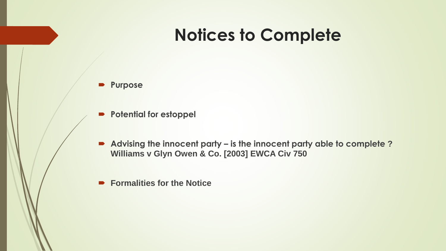#### **Notices to Complete**

- **Purpose**
- **Potential for estoppel**
- **Advising the innocent party – is the innocent party able to complete ? Williams v Glyn Owen & Co. [2003] EWCA Civ 750**
- **Formalities for the Notice**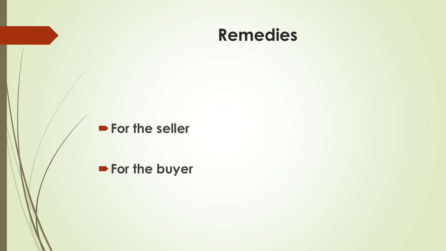#### **Remedies**

#### **For the seller**

#### **For the buyer**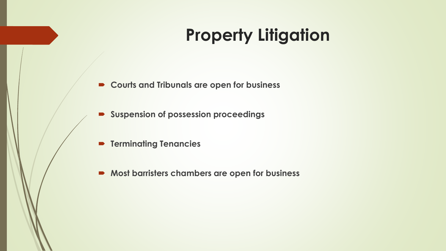## **Property Litigation**

- **Courts and Tribunals are open for business**
- **Suspension of possession proceedings**
- **P** Terminating Tenancies
- **Most barristers chambers are open for business**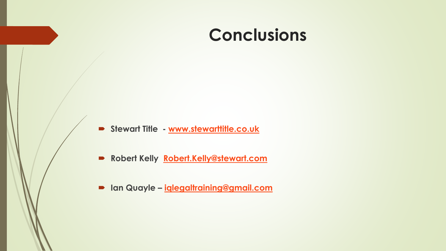#### **Conclusions**

- **Stewart Title - [www.stewarttitle.co.uk](http://www.stewarttitle.co.uk/)**
- **Robert Kelly [Robert.Kelly@stewart.com](mailto:Robert.Kelly@stewart.title)**
- **Ian Quayle – [iqlegaltraining@gmail.com](mailto:iqlegaltraining@gmail.com)**